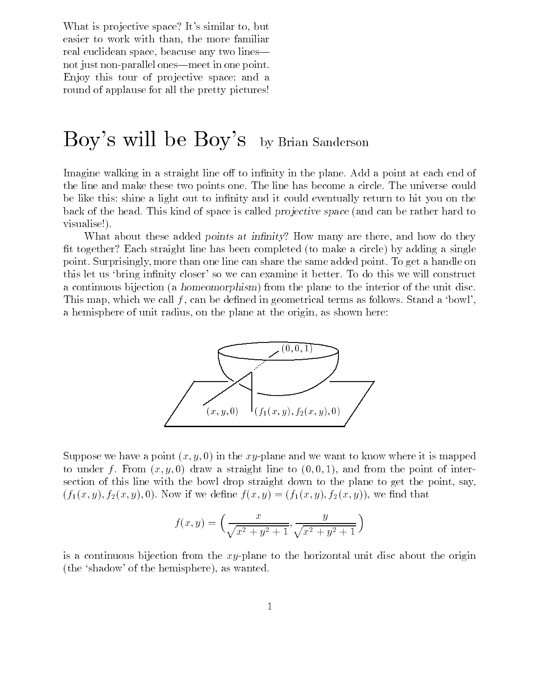What is projective space? It's similar to, but easier to work with than, the more familiar real euclidean space, beacuse any two lines| not just non-parallel ones—meet in one point. Enjoy this tour of projective space; and a round of applause for all the pretty pictures!

# Boy's will be Boy's by Brian Sanderson

Imagine walking in a straight line off to infinity in the plane. Add a point at each end of the line and make these two points one. The line has become a circle. The universe could be like this: shine a light out to infinity and it could eventually return to hit you on the back of the head. This kind of space is called *projective space* (and can be rather hard to visualise!).

What about these added points at infinity? How many are there, and how do they fit together? Each straight line has been completed (to make a circle) by adding a single point. Surprisingly, more than one line can share the same added point. To get a handle on this let us 'bring infinity closer' so we can examine it better. To do this we will construct a continuous bijection (a homeomorphism) from the plane to the interior of the unit disc. This map, which we call  $f$ , can be defined in geometrical terms as follows. Stand a 'bowl', a hemisphere of unit radius, on the plane at the origin, as shown here:



Suppose we have a point  $(x, y, 0)$  in the xy-plane and we want to know where it is mapped to under f. From  $(x, y, 0)$  draw a straight line to  $(0, 0, 1)$ , and from the point of intersection of this line with the bowl drop straight down to the plane to get the point, say,  $(f_1(x,y), f_2(x,y), 0)$ . Now if we define  $f(x,y) = (f_1(x,y), f_2(x,y))$ , we find that

$$
f(x,y) = \left(\frac{x}{\sqrt{x^2 + y^2 + 1}}, \frac{y}{\sqrt{x^2 + y^2 + 1}}\right)
$$

is a continuous bijection from the  $xy$ -plane to the horizontal unit disc about the origin (the `shadow' of the hemisphere), as wanted.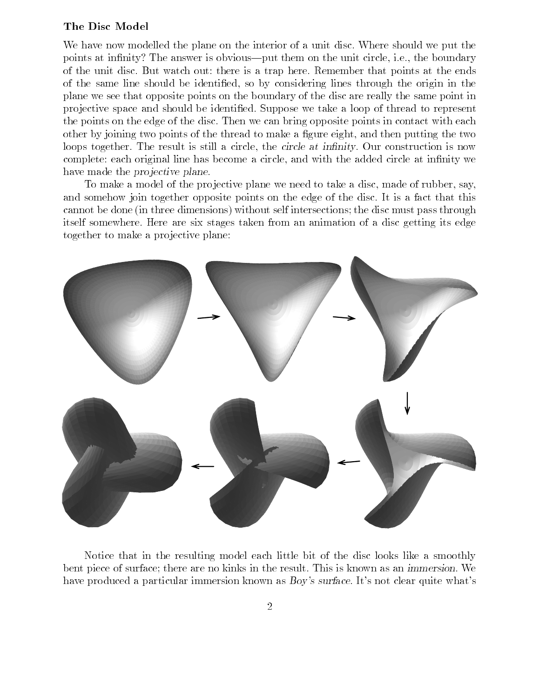### The Disc Model

We have now modelled the plane on the interior of a unit disc. Where should we put the points at infinity? The answer is obvious—put them on the unit circle, i.e., the boundary of the unit disc. But watch out: there is a trap here. Remember that points at the ends of the same line should be identied, so by considering lines through the origin in the plane we see that opposite points on the boundary of the disc are really the same point in pro jective space and should be identied. Suppose we take a loop of thread to represent the points on the edge of the disc. Then we can bring opposite points in contact with each other by joining two points of the thread to make a gure eight, and then putting the two loops together. The result is still a circle, the circle at infinity. Our construction is now complete: each original line has become a circle, and with the added circle at infinity we have made the *projective plane*.

To make a model of the projective plane we need to take a disc, made of rubber, say, and somehow join together opposite points on the edge of the disc. It is a fact that this cannot be done (in three dimensions) without self intersections; the disc must pass through itself somewhere. Here are six stages taken from an animation of a disc getting its edge together to make a projective plane:



Notice that in the resulting model each little bit of the disc looks like a smoothly bent piece of surface; there are no kinks in the result. This is known as an immersion. We have produced a particular immersion known as Boy's surface. It's not clear quite what's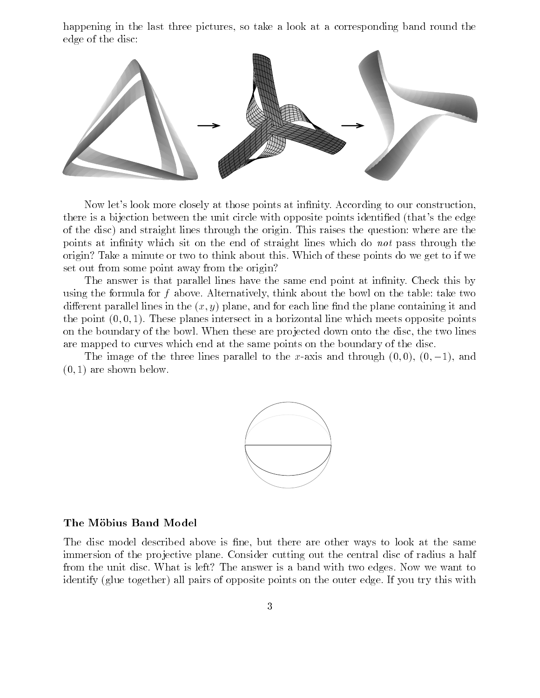happening in the last three pictures, so take a look at a corresponding band round the edge of the disc:



Now let's look more closely at those points at infinity. According to our construction, there is a bijection between the unit circle with opposite points identied (that's the edge of the disc) and straight lines through the origin. This raises the question: where are the points at infinity which sit on the end of straight lines which do not pass through the origin? Take a minute or two to think about this. Which of these points do we get to if we set out from some point away from the origin?

The answer is that parallel lines have the same end point at infinity. Check this by using the formula for  $f$  above. Alternatively, think about the bowl on the table: take two different parallel lines in the  $(x, y)$  plane, and for each line find the plane containing it and the point  $(0, 0, 1)$ . These planes intersect in a horizontal line which meets opposite points on the boundary of the bowl. When these are projected down onto the disc, the two lines are mapped to curves which end at the same points on the boundary of the disc.

The image of the three lines parallel to the x-axis and through  $(0,0)$ ,  $(0,-1)$ , and  $(0, 1)$  are shown below.



#### The Möbius Band Model

The disc model described above is fine, but there are other ways to look at the same immersion of the projective plane. Consider cutting out the central disc of radius a half from the unit disc. What is left? The answer is a band with two edges. Now we want to identify (glue together) all pairs of opposite points on the outer edge. If you try this with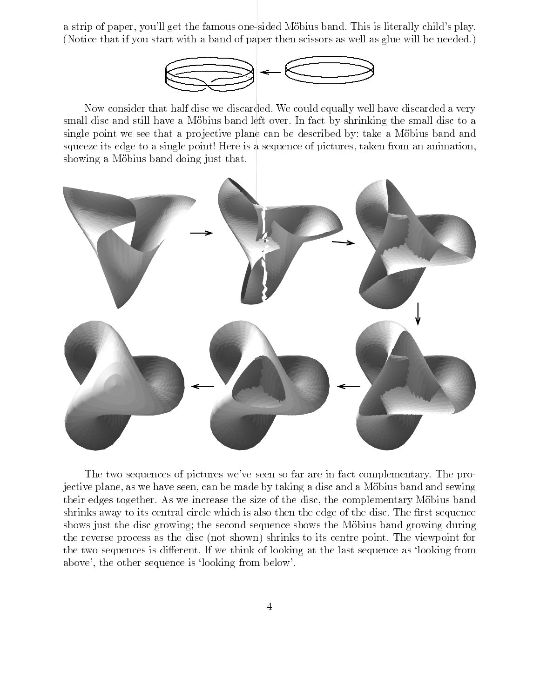a strip of paper, you'll get the famous one-sided Möbius band. This is literally child's play. (Notice that if you start with a band of paper then scissors as well as glue will be needed.)



Now consider that half disc we discarded. We could equally well have discarded a very small disc and still have a Möbius band left over. In fact by shrinking the small disc to a single point we see that a projective plane can be described by: take a Möbius band and squeeze its edge to a single point! Here is a sequence of pictures, taken from an animation, showing a Möbius band doing just that.



The two sequences of pictures we've seen so far are in fact complementary. The projective plane, as we have seen, can be made by taking a disc and a Mobius band and sewing their edges together. As we increase the size of the disc, the complementary Mobius band shrinks away to its central circle which is also then the edge of the disc. The first sequence shows just the disc growing; the second sequence shows the Möbius band growing during the reverse process as the disc (not shown) shrinks to its centre point. The viewpoint for the two sequences is different. If we think of looking at the last sequence as 'looking from above', the other sequence is `looking from below'.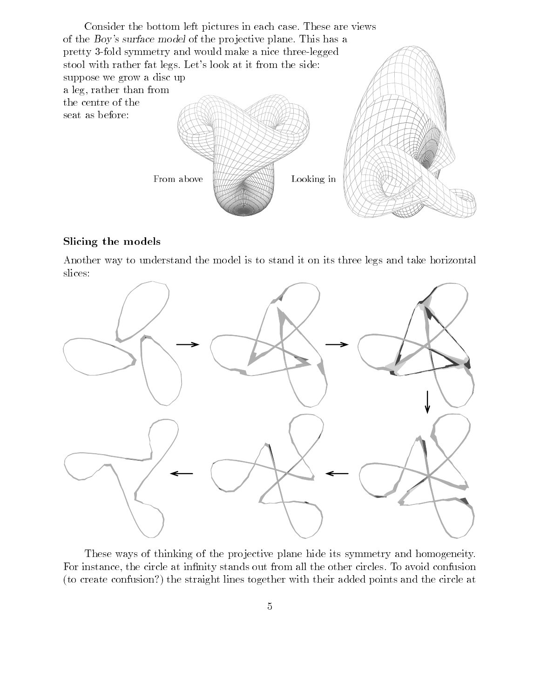Consider the bottom left pictures in each case. These are views of the Boy's surface model of the projective plane. This has a pretty 3-fold symmetry and would make a nice three-legged stool with rather fat legs. Let's look at it from the side: suppose we grow a disc up a leg, rather than from the centre of the seat as before: From aboveLooking in

### Slicing the models

Another way to understand the model is to stand it on its three legs and take horizontal slices:



These ways of thinking of the projective plane hide its symmetry and homogeneity. For instance, the circle at infinity stands out from all the other circles. To avoid confusion (to create confusion?) the straight lines together with their added points and the circle at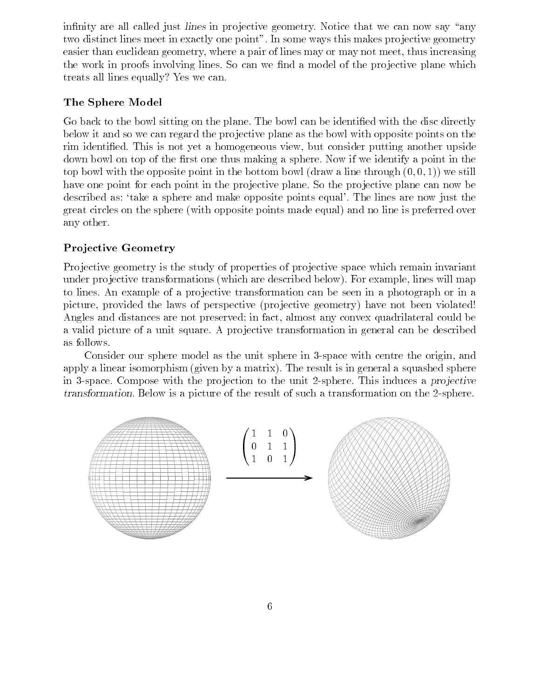infinity are all called just *lines* in projective geometry. Notice that we can now say "any two distinct lines meet in exactly one point". In some ways this makes projective geometry easier than euclidean geometry, where a pair of lines may or may not meet, thus increasing the work in proofs involving lines. So can we find a model of the projective plane which treats all lines equally? Yes we can.

# The Sphere Model

Go back to the bowl sitting on the plane. The bowl can be identied with the disc directly below it and so we can regard the projective plane as the bowl with opposite points on the rim identied. This is not yet a homogeneous view, but consider putting another upside down bowl on top of the first one thus making a sphere. Now if we identify a point in the top bowl with the opposite point in the bottom bowl (draw a line through  $(0,0,1)$ ) we still have one point for each point in the projective plane. So the projective plane can now be described as: 'take a sphere and make opposite points equal'. The lines are now just the great circles on the sphere (with opposite points made equal) and no line is preferred over any other.

# Pro jective Geometry

Projective geometry is the study of properties of projective space which remain invariant under projective transformations (which are described below). For example, lines will map to lines. An example of a pro jective transformation can be seen in a photograph or in a picture, provided the laws of perspective (projective geometry) have not been violated! Angles and distances are not preserved; in fact, almost any convex quadrilateral could be a valid picture of a unit square. A projective transformation in general can be described as follows.

Consider our sphere model as the unit sphere in 3-space with centre the origin, and apply a linear isomorphism (given by a matrix). The result is in general a squashed sphere in 3-space. Compose with the projection to the unit 2-sphere. This induces a projective transformation. Below is a picture of the result of such a transformation on the 2-sphere.